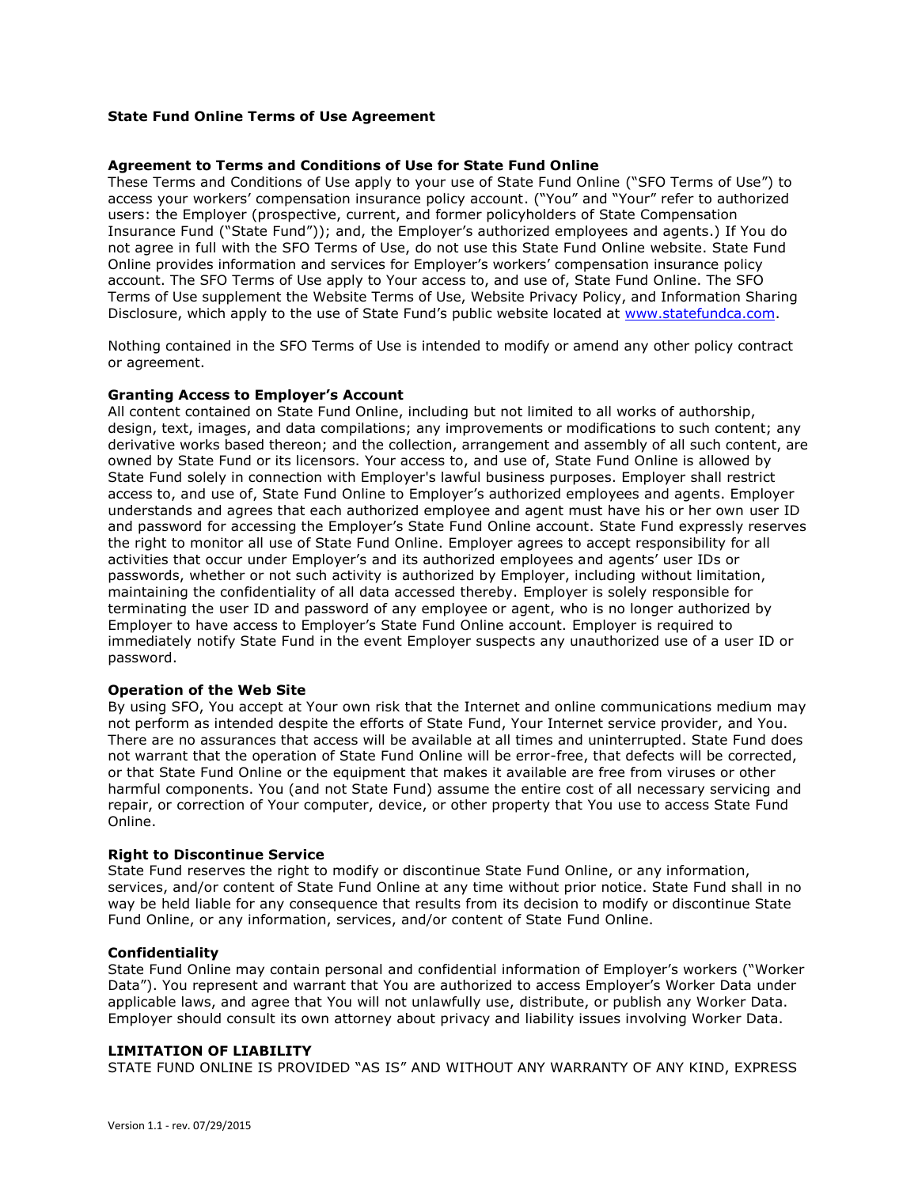## **State Fund Online Terms of Use Agreement**

## **Agreement to Terms and Conditions of Use for State Fund Online**

These Terms and Conditions of Use apply to your use of State Fund Online ("SFO Terms of Use") to access your workers' compensation insurance policy account. ("You" and "Your" refer to authorized users: the Employer (prospective, current, and former policyholders of State Compensation Insurance Fund ("State Fund")); and, the Employer's authorized employees and agents.) If You do not agree in full with the SFO Terms of Use, do not use this State Fund Online website. State Fund Online provides information and services for Employer's workers' compensation insurance policy account. The SFO Terms of Use apply to Your access to, and use of, State Fund Online. The SFO Terms of Use supplement the Website Terms of Use, Website Privacy Policy, and Information Sharing Disclosure, which apply to the use of State Fund's public website located at [www.statefundca.com.](http://www.statefundca.com/)

Nothing contained in the SFO Terms of Use is intended to modify or amend any other policy contract or agreement.

## **Granting Access to Employer's Account**

All content contained on State Fund Online, including but not limited to all works of authorship, design, text, images, and data compilations; any improvements or modifications to such content; any derivative works based thereon; and the collection, arrangement and assembly of all such content, are owned by State Fund or its licensors. Your access to, and use of, State Fund Online is allowed by State Fund solely in connection with Employer's lawful business purposes. Employer shall restrict access to, and use of, State Fund Online to Employer's authorized employees and agents. Employer understands and agrees that each authorized employee and agent must have his or her own user ID and password for accessing the Employer's State Fund Online account. State Fund expressly reserves the right to monitor all use of State Fund Online. Employer agrees to accept responsibility for all activities that occur under Employer's and its authorized employees and agents' user IDs or passwords, whether or not such activity is authorized by Employer, including without limitation, maintaining the confidentiality of all data accessed thereby. Employer is solely responsible for terminating the user ID and password of any employee or agent, who is no longer authorized by Employer to have access to Employer's State Fund Online account. Employer is required to immediately notify State Fund in the event Employer suspects any unauthorized use of a user ID or password.

#### **Operation of the Web Site**

By using SFO, You accept at Your own risk that the Internet and online communications medium may not perform as intended despite the efforts of State Fund, Your Internet service provider, and You. There are no assurances that access will be available at all times and uninterrupted. State Fund does not warrant that the operation of State Fund Online will be error-free, that defects will be corrected, or that State Fund Online or the equipment that makes it available are free from viruses or other harmful components. You (and not State Fund) assume the entire cost of all necessary servicing and repair, or correction of Your computer, device, or other property that You use to access State Fund Online.

#### **Right to Discontinue Service**

State Fund reserves the right to modify or discontinue State Fund Online, or any information, services, and/or content of State Fund Online at any time without prior notice. State Fund shall in no way be held liable for any consequence that results from its decision to modify or discontinue State Fund Online, or any information, services, and/or content of State Fund Online.

## **Confidentiality**

State Fund Online may contain personal and confidential information of Employer's workers ("Worker Data"). You represent and warrant that You are authorized to access Employer's Worker Data under applicable laws, and agree that You will not unlawfully use, distribute, or publish any Worker Data. Employer should consult its own attorney about privacy and liability issues involving Worker Data.

## **LIMITATION OF LIABILITY**

STATE FUND ONLINE IS PROVIDED "AS IS" AND WITHOUT ANY WARRANTY OF ANY KIND, EXPRESS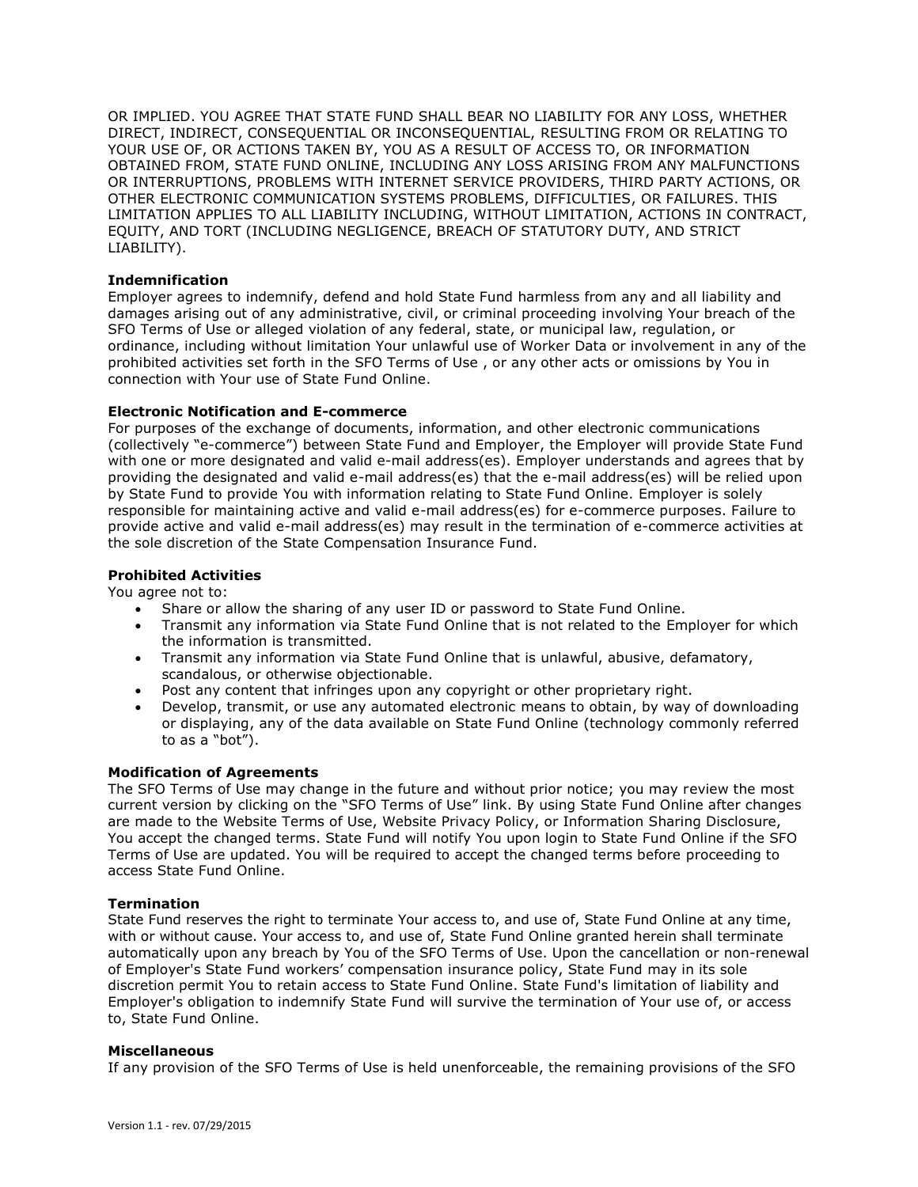OR IMPLIED. YOU AGREE THAT STATE FUND SHALL BEAR NO LIABILITY FOR ANY LOSS, WHETHER DIRECT, INDIRECT, CONSEQUENTIAL OR INCONSEQUENTIAL, RESULTING FROM OR RELATING TO YOUR USE OF, OR ACTIONS TAKEN BY, YOU AS A RESULT OF ACCESS TO, OR INFORMATION OBTAINED FROM, STATE FUND ONLINE, INCLUDING ANY LOSS ARISING FROM ANY MALFUNCTIONS OR INTERRUPTIONS, PROBLEMS WITH INTERNET SERVICE PROVIDERS, THIRD PARTY ACTIONS, OR OTHER ELECTRONIC COMMUNICATION SYSTEMS PROBLEMS, DIFFICULTIES, OR FAILURES. THIS LIMITATION APPLIES TO ALL LIABILITY INCLUDING, WITHOUT LIMITATION, ACTIONS IN CONTRACT, EQUITY, AND TORT (INCLUDING NEGLIGENCE, BREACH OF STATUTORY DUTY, AND STRICT LIABILITY).

# **Indemnification**

Employer agrees to indemnify, defend and hold State Fund harmless from any and all liability and damages arising out of any administrative, civil, or criminal proceeding involving Your breach of the SFO Terms of Use or alleged violation of any federal, state, or municipal law, regulation, or ordinance, including without limitation Your unlawful use of Worker Data or involvement in any of the prohibited activities set forth in the SFO Terms of Use , or any other acts or omissions by You in connection with Your use of State Fund Online.

# **Electronic Notification and E-commerce**

For purposes of the exchange of documents, information, and other electronic communications (collectively "e-commerce") between State Fund and Employer, the Employer will provide State Fund with one or more designated and valid e-mail address(es). Employer understands and agrees that by providing the designated and valid e-mail address(es) that the e-mail address(es) will be relied upon by State Fund to provide You with information relating to State Fund Online. Employer is solely responsible for maintaining active and valid e-mail address(es) for e-commerce purposes. Failure to provide active and valid e-mail address(es) may result in the termination of e-commerce activities at the sole discretion of the State Compensation Insurance Fund.

## **Prohibited Activities**

You agree not to:

- Share or allow the sharing of any user ID or password to State Fund Online.
- Transmit any information via State Fund Online that is not related to the Employer for which the information is transmitted.
- Transmit any information via State Fund Online that is unlawful, abusive, defamatory, scandalous, or otherwise objectionable.
- Post any content that infringes upon any copyright or other proprietary right.
- Develop, transmit, or use any automated electronic means to obtain, by way of downloading or displaying, any of the data available on State Fund Online (technology commonly referred to as a "bot").

## **Modification of Agreements**

The SFO Terms of Use may change in the future and without prior notice; you may review the most current version by clicking on the "SFO Terms of Use" link. By using State Fund Online after changes are made to the Website Terms of Use, Website Privacy Policy, or Information Sharing Disclosure, You accept the changed terms. State Fund will notify You upon login to State Fund Online if the SFO Terms of Use are updated. You will be required to accept the changed terms before proceeding to access State Fund Online.

## **Termination**

State Fund reserves the right to terminate Your access to, and use of, State Fund Online at any time, with or without cause. Your access to, and use of, State Fund Online granted herein shall terminate automatically upon any breach by You of the SFO Terms of Use. Upon the cancellation or non-renewal of Employer's State Fund workers' compensation insurance policy, State Fund may in its sole discretion permit You to retain access to State Fund Online. State Fund's limitation of liability and Employer's obligation to indemnify State Fund will survive the termination of Your use of, or access to, State Fund Online.

## **Miscellaneous**

If any provision of the SFO Terms of Use is held unenforceable, the remaining provisions of the SFO